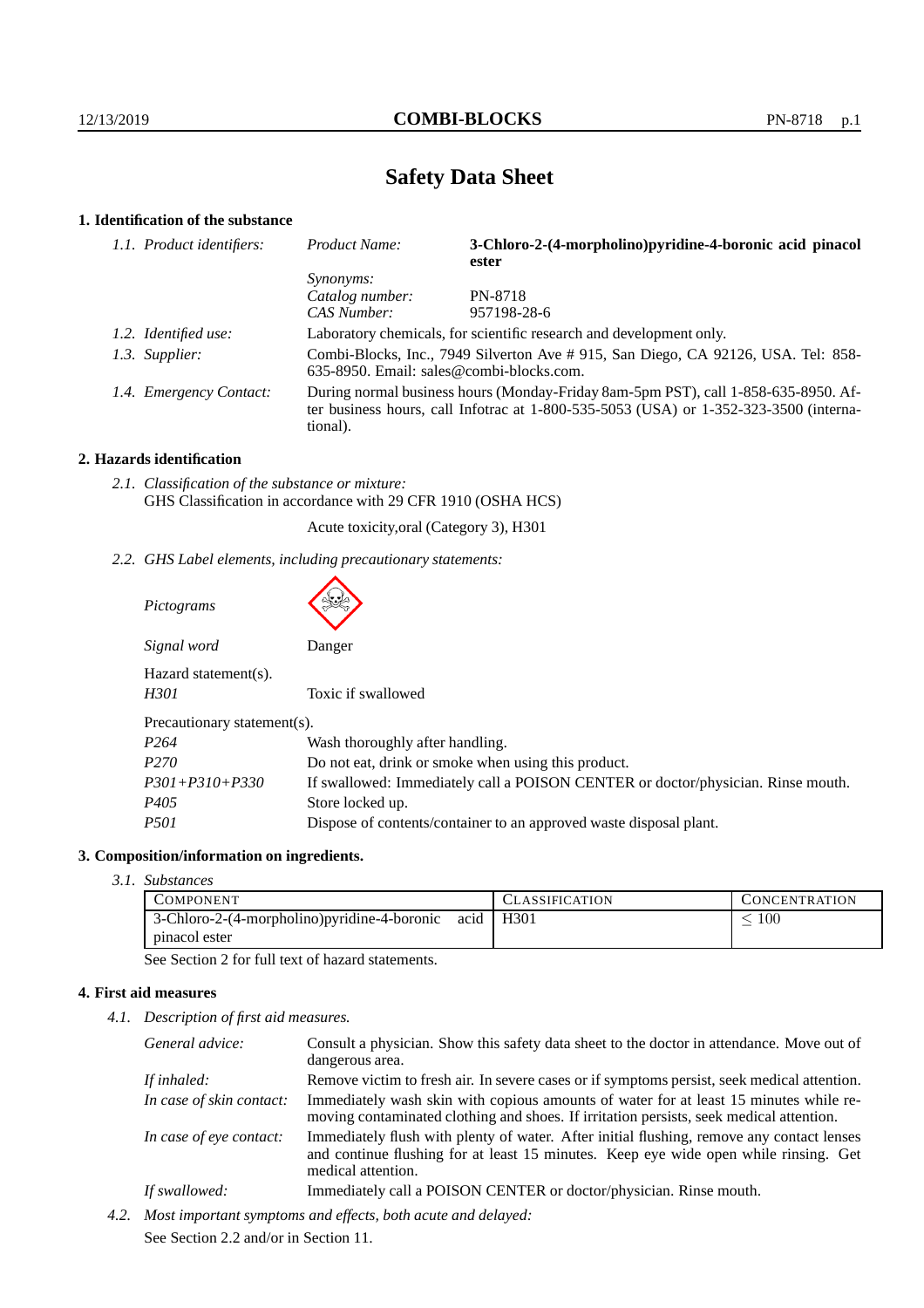# **Safety Data Sheet**

# **1. Identification of the substance**

|                                                                                                                                                                                         | 3-Chloro-2-(4-morpholino)pyridine-4-boronic acid pinacol<br>ester   |
|-----------------------------------------------------------------------------------------------------------------------------------------------------------------------------------------|---------------------------------------------------------------------|
| <i>Synonyms:</i>                                                                                                                                                                        |                                                                     |
| Catalog number:                                                                                                                                                                         | PN-8718                                                             |
| CAS Number:                                                                                                                                                                             | 957198-28-6                                                         |
|                                                                                                                                                                                         | Laboratory chemicals, for scientific research and development only. |
| Combi-Blocks, Inc., 7949 Silverton Ave #915, San Diego, CA 92126, USA. Tel: 858-<br>635-8950. Email: sales@combi-blocks.com.                                                            |                                                                     |
| During normal business hours (Monday-Friday 8am-5pm PST), call 1-858-635-8950. Af-<br>ter business hours, call Infotrac at 1-800-535-5053 (USA) or 1-352-323-3500 (interna-<br>tional). |                                                                     |
| 1.2. Identified use:<br>1.3. Supplier:<br>1.4. Emergency Contact:                                                                                                                       |                                                                     |

# **2. Hazards identification**

*2.1. Classification of the substance or mixture:* GHS Classification in accordance with 29 CFR 1910 (OSHA HCS)

 $\blacktriangle$ 

Acute toxicity,oral (Category 3), H301

*2.2. GHS Label elements, including precautionary statements:*

| Pictograms                   |                                                                                  |
|------------------------------|----------------------------------------------------------------------------------|
| Signal word                  | Danger                                                                           |
| Hazard statement(s).<br>H301 | Toxic if swallowed                                                               |
| Precautionary statement(s).  |                                                                                  |
| P <sub>264</sub>             | Wash thoroughly after handling.                                                  |
| P <sub>270</sub>             | Do not eat, drink or smoke when using this product.                              |
| $P301 + P310 + P330$         | If swallowed: Immediately call a POISON CENTER or doctor/physician. Rinse mouth. |
| P405                         | Store locked up.                                                                 |
| <i>P501</i>                  | Dispose of contents/container to an approved waste disposal plant.               |

### **3. Composition/information on ingredients.**

*3.1. Substances*

| <b>COMPONENT</b>                                     | CLASSIFICATION   | <b>CONCENTRATION</b> |
|------------------------------------------------------|------------------|----------------------|
| 3-Chloro-2-(4-morpholino) pyridine-4-boronic<br>acid | H <sub>301</sub> | $100\,$              |
| pinacol ester                                        |                  |                      |

See Section 2 for full text of hazard statements.

# **4. First aid measures**

*4.1. Description of first aid measures.*

| General advice:          | Consult a physician. Show this safety data sheet to the doctor in attendance. Move out of<br>dangerous area.                                                                                            |
|--------------------------|---------------------------------------------------------------------------------------------------------------------------------------------------------------------------------------------------------|
| If inhaled:              | Remove victim to fresh air. In severe cases or if symptoms persist, seek medical attention.                                                                                                             |
| In case of skin contact: | Immediately wash skin with copious amounts of water for at least 15 minutes while re-<br>moving contaminated clothing and shoes. If irritation persists, seek medical attention.                        |
| In case of eye contact:  | Immediately flush with plenty of water. After initial flushing, remove any contact lenses<br>and continue flushing for at least 15 minutes. Keep eye wide open while rinsing. Get<br>medical attention. |
| If swallowed:            | Immediately call a POISON CENTER or doctor/physician. Rinse mouth.                                                                                                                                      |

*4.2. Most important symptoms and effects, both acute and delayed:* See Section 2.2 and/or in Section 11.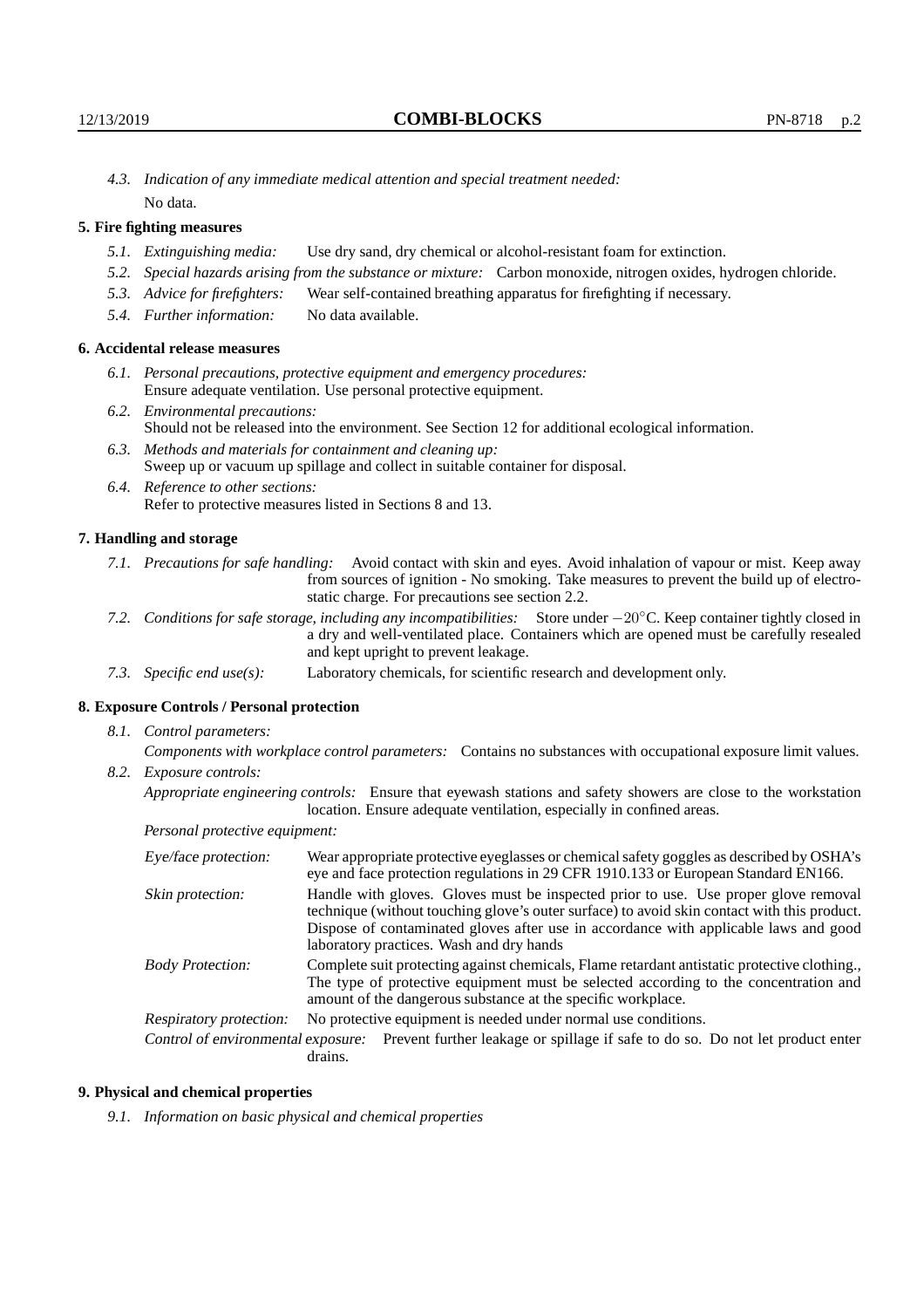*4.3. Indication of any immediate medical attention and special treatment needed:* No data.

# **5. Fire fighting measures**

- *5.1. Extinguishing media:* Use dry sand, dry chemical or alcohol-resistant foam for extinction.
- *5.2. Special hazards arising from the substance or mixture:* Carbon monoxide, nitrogen oxides, hydrogen chloride.
- *5.3. Advice for firefighters:* Wear self-contained breathing apparatus for firefighting if necessary.
- *5.4. Further information:* No data available.

# **6. Accidental release measures**

- *6.1. Personal precautions, protective equipment and emergency procedures:* Ensure adequate ventilation. Use personal protective equipment.
- *6.2. Environmental precautions:* Should not be released into the environment. See Section 12 for additional ecological information.
- *6.3. Methods and materials for containment and cleaning up:* Sweep up or vacuum up spillage and collect in suitable container for disposal.
- *6.4. Reference to other sections:* Refer to protective measures listed in Sections 8 and 13.

#### **7. Handling and storage**

- *7.1. Precautions for safe handling:* Avoid contact with skin and eyes. Avoid inhalation of vapour or mist. Keep away from sources of ignition - No smoking. Take measures to prevent the build up of electrostatic charge. For precautions see section 2.2.
- *7.2. Conditions for safe storage, including any incompatibilities:* Store under −20◦C. Keep container tightly closed in a dry and well-ventilated place. Containers which are opened must be carefully resealed and kept upright to prevent leakage.
- *7.3. Specific end use(s):* Laboratory chemicals, for scientific research and development only.

# **8. Exposure Controls / Personal protection**

*8.1. Control parameters:*

*Components with workplace control parameters:* Contains no substances with occupational exposure limit values. *8.2. Exposure controls:*

*Appropriate engineering controls:* Ensure that eyewash stations and safety showers are close to the workstation location. Ensure adequate ventilation, especially in confined areas.

*Personal protective equipment:*

| Eye/face protection:               | Wear appropriate protective eyeglasses or chemical safety goggles as described by OSHA's<br>eye and face protection regulations in 29 CFR 1910.133 or European Standard EN166.                                                                                                                                         |  |  |
|------------------------------------|------------------------------------------------------------------------------------------------------------------------------------------------------------------------------------------------------------------------------------------------------------------------------------------------------------------------|--|--|
| Skin protection:                   | Handle with gloves. Gloves must be inspected prior to use. Use proper glove removal<br>technique (without touching glove's outer surface) to avoid skin contact with this product.<br>Dispose of contaminated gloves after use in accordance with applicable laws and good<br>laboratory practices. Wash and dry hands |  |  |
| <b>Body Protection:</b>            | Complete suit protecting against chemicals, Flame retardant antistatic protective clothing.<br>The type of protective equipment must be selected according to the concentration and<br>amount of the dangerous substance at the specific workplace.                                                                    |  |  |
| Respiratory protection:            | No protective equipment is needed under normal use conditions.                                                                                                                                                                                                                                                         |  |  |
| Control of environmental exposure: | Prevent further leakage or spillage if safe to do so. Do not let product enter<br>drains.                                                                                                                                                                                                                              |  |  |

#### **9. Physical and chemical properties**

*9.1. Information on basic physical and chemical properties*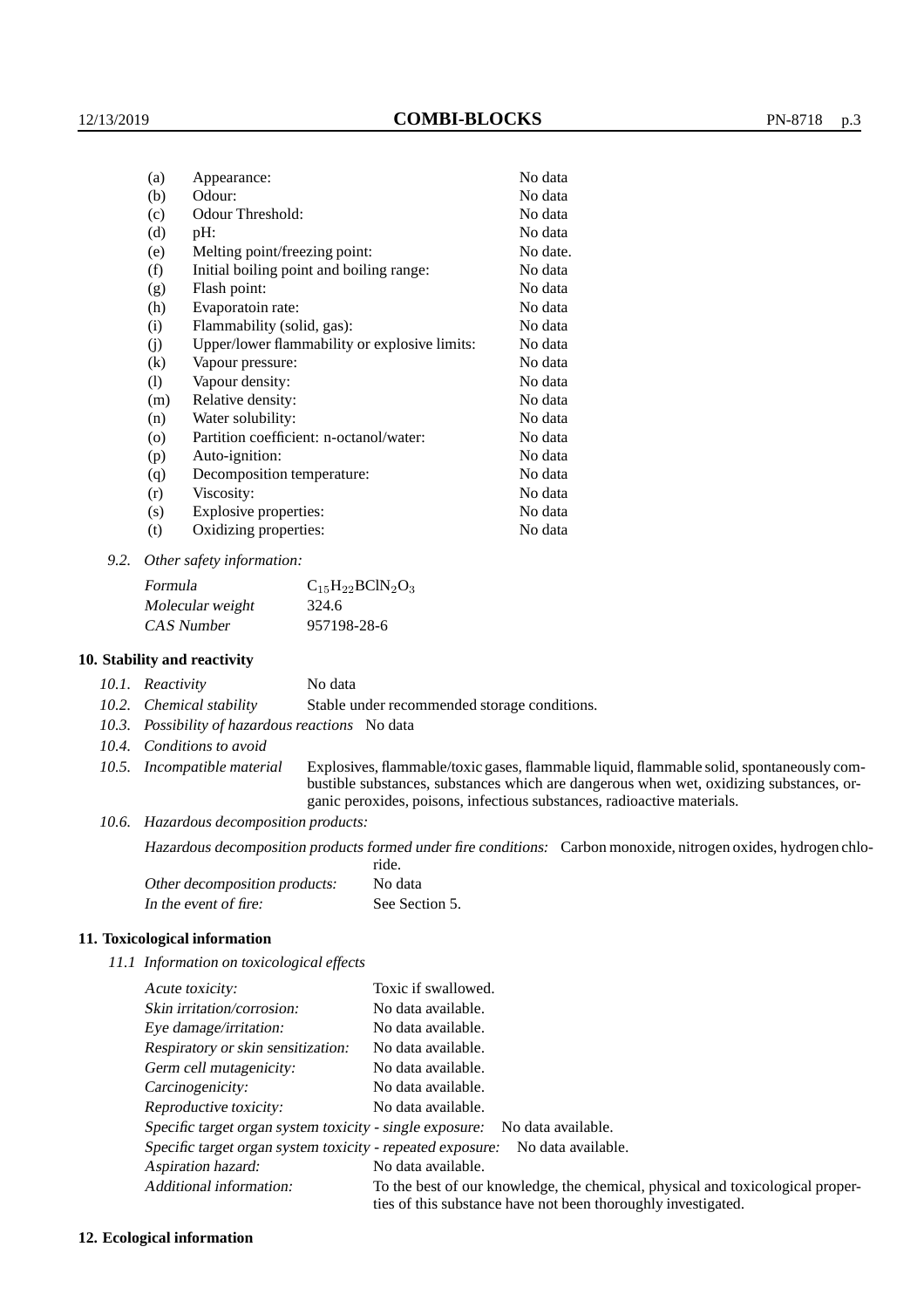| (a)      | Appearance:                                   | No data  |
|----------|-----------------------------------------------|----------|
| (b)      | Odour:                                        | No data  |
| (c)      | Odour Threshold:                              | No data  |
| (d)      | pH:                                           | No data  |
| (e)      | Melting point/freezing point:                 | No date. |
| (f)      | Initial boiling point and boiling range:      | No data  |
| (g)      | Flash point:                                  | No data  |
| (h)      | Evaporatoin rate:                             | No data  |
| (i)      | Flammability (solid, gas):                    | No data  |
| (i)      | Upper/lower flammability or explosive limits: | No data  |
| $\rm(k)$ | Vapour pressure:                              | No data  |
| (1)      | Vapour density:                               | No data  |
| (m)      | Relative density:                             | No data  |
| (n)      | Water solubility:                             | No data  |
| $\circ$  | Partition coefficient: n-octanol/water:       | No data  |
| (p)      | Auto-ignition:                                | No data  |
| (q)      | Decomposition temperature:                    | No data  |
| (r)      | Viscosity:                                    | No data  |
| (s)      | Explosive properties:                         | No data  |
| (t)      | Oxidizing properties:                         | No data  |
|          |                                               |          |

*9.2. Other safety information:*

| Formula          | $C_{15}H_{22}BCIN_2O_3$ |
|------------------|-------------------------|
| Molecular weight | 324.6                   |
| CAS Number       | 957198-28-6             |

# **10. Stability and reactivity**

|  | 10.1. Reactivity | No data |
|--|------------------|---------|
|--|------------------|---------|

*10.2. Chemical stability* Stable under recommended storage conditions.

*10.3. Possibility of hazardous reactions* No data

*10.4. Conditions to avoid*

*10.5. Incompatible material* Explosives, flammable/toxic gases, flammable liquid, flammable solid, spontaneously combustible substances, substances which are dangerous when wet, oxidizing substances, organic peroxides, poisons, infectious substances, radioactive materials.

*10.6. Hazardous decomposition products:*

Hazardous decomposition products formed under fire conditions: Carbon monoxide, nitrogen oxides, hydrogen chloride.

| Other decomposition products: | No data        |
|-------------------------------|----------------|
| In the event of fire:         | See Section 5. |

### **11. Toxicological information**

*11.1 Information on toxicological effects*

| Acute toxicity:                                            | Toxic if swallowed.                                                                                                                             |
|------------------------------------------------------------|-------------------------------------------------------------------------------------------------------------------------------------------------|
| Skin irritation/corrosion:                                 | No data available.                                                                                                                              |
| Eye damage/irritation:                                     | No data available.                                                                                                                              |
| Respiratory or skin sensitization:                         | No data available.                                                                                                                              |
| Germ cell mutagenicity:                                    | No data available.                                                                                                                              |
| Carcinogenicity:                                           | No data available.                                                                                                                              |
| Reproductive toxicity:                                     | No data available.                                                                                                                              |
| Specific target organ system toxicity - single exposure:   | No data available.                                                                                                                              |
| Specific target organ system toxicity - repeated exposure: | No data available.                                                                                                                              |
| Aspiration hazard:                                         | No data available.                                                                                                                              |
| Additional information:                                    | To the best of our knowledge, the chemical, physical and toxicological proper-<br>ties of this substance have not been thoroughly investigated. |

#### **12. Ecological information**